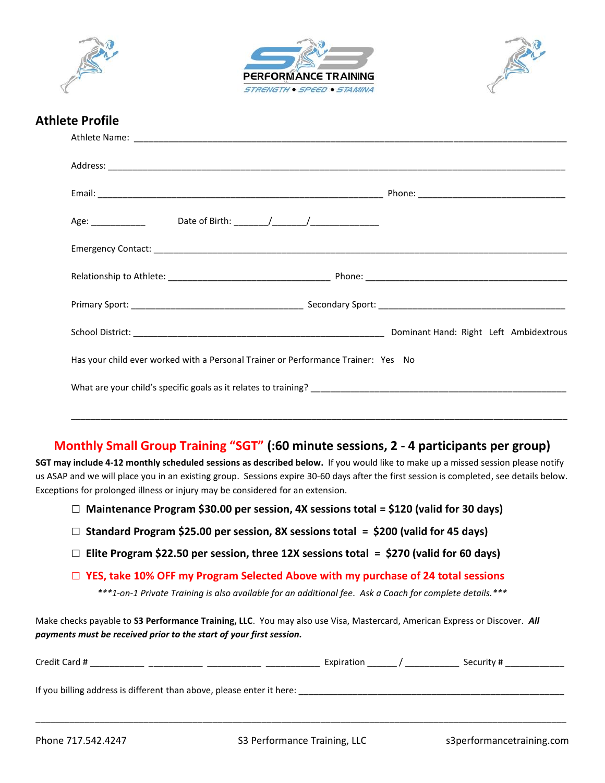





## **Athlete Profile**

| Age: _________________________Date of Birth: ________/_________/________________  |  |
|-----------------------------------------------------------------------------------|--|
|                                                                                   |  |
|                                                                                   |  |
|                                                                                   |  |
|                                                                                   |  |
| Has your child ever worked with a Personal Trainer or Performance Trainer: Yes No |  |
|                                                                                   |  |
|                                                                                   |  |

## **Monthly Small Group Training "SGT" (:60 minute sessions, 2 - 4 participants per group)**

**SGT may include 4-12 monthly scheduled sessions as described below.** If you would like to make up a missed session please notify us ASAP and we will place you in an existing group. Sessions expire 30-60 days after the first session is completed, see details below. Exceptions for prolonged illness or injury may be considered for an extension.

- **□ Maintenance Program \$30.00 per session, 4X sessions total = \$120 (valid for 30 days)**
- **□ Standard Program \$25.00 per session, 8X sessions total = \$200 (valid for 45 days)**
- **□ Elite Program \$22.50 per session, three 12X sessions total = \$270 (valid for 60 days)**
- **□ YES, take 10% OFF my Program Selected Above with my purchase of 24 total sessions**

*\*\*\*1-on-1 Private Training is also available for an additional fee. Ask a Coach for complete details.\*\*\**

Make checks payable to **S3 Performance Training, LLC**. You may also use Visa, Mastercard, American Express or Discover. *All payments must be received prior to the start of your first session.*

| Credit Card #                                                         | Expiration | Security # |
|-----------------------------------------------------------------------|------------|------------|
| If you billing address is different than above, please enter it here: |            |            |

\_\_\_\_\_\_\_\_\_\_\_\_\_\_\_\_\_\_\_\_\_\_\_\_\_\_\_\_\_\_\_\_\_\_\_\_\_\_\_\_\_\_\_\_\_\_\_\_\_\_\_\_\_\_\_\_\_\_\_\_\_\_\_\_\_\_\_\_\_\_\_\_\_\_\_\_\_\_\_\_\_\_\_\_\_\_\_\_\_\_\_\_\_\_\_\_\_\_\_\_\_\_\_\_\_\_\_\_